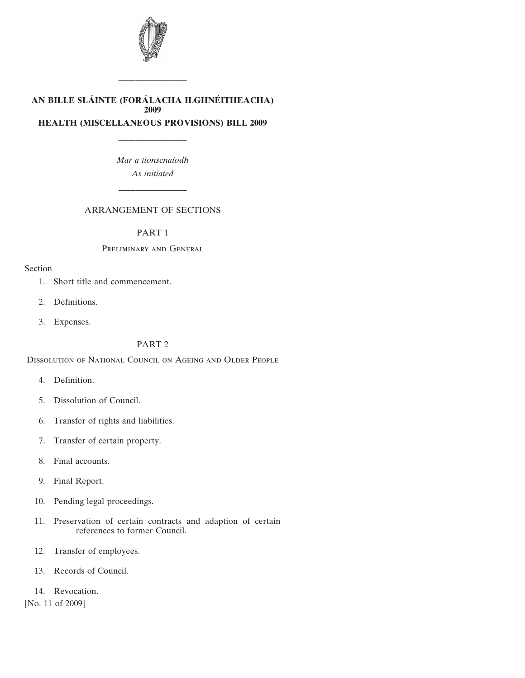

# **AN BILLE SLA´ INTE (FORA´ LACHA ILGHNE´ ITHEACHA) 2009 HEALTH (MISCELLANEOUS PROVISIONS) BILL 2009**

————————

*Mar a tionscnaı´odh As initiated*

————————

# ARRANGEMENT OF SECTIONS

————————

# [PART 1](#page-4-0)

## [P](#page-4-0)reliminary and General

## [Se](#page-4-0)ction

- [1. Short title and commencement.](#page-4-0)
- [2. Definitions.](#page-4-0)
- [3. Expenses.](#page-5-0)

# [PART 2](#page-5-0)

[D](#page-5-0)issolution of National Council on Ageing and Older People

- [4. Definition.](#page-5-0)
- [5. Dissolution of Council.](#page-5-0)
- [6. Transfer of rights and liabilities.](#page-5-0)
- [7. Transfer of certain property.](#page-5-0)
- [8. Final accounts.](#page-5-0)
- [9. Final Report.](#page-6-0)
- [10. Pending legal proceedings.](#page-6-0)
- [11. Preservation of certain contracts and adaption of certain](#page-6-0) [references to former Council.](#page-6-0)
- [12. Transfer of employees.](#page-6-0)
- [13. Records of Council.](#page-7-0)
- [14. Revocation.](#page-7-0)

[No. 11 of 2009]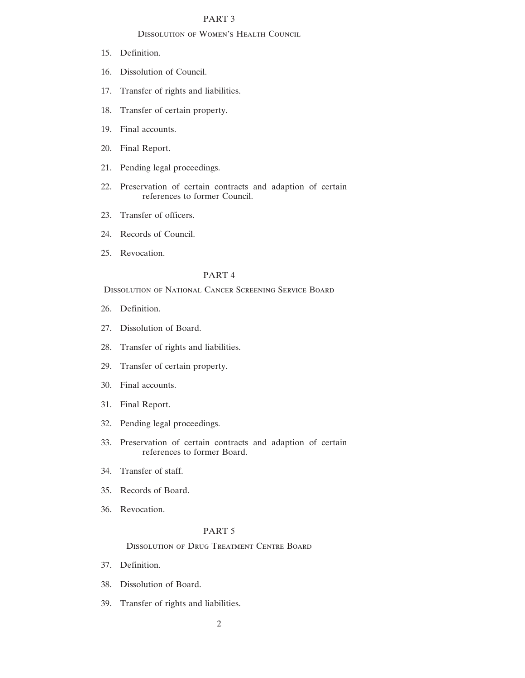# [PART 3](#page-7-0)

### [D](#page-7-0)issolution of Women's Health Council

- [15. Definition.](#page-7-0)
- [16. Dissolution of Council.](#page-7-0)
- [17. Transfer of rights and liabilities.](#page-7-0)
- [18. Transfer of certain property.](#page-8-0)
- [19. Final accounts.](#page-8-0)
- [20. Final Report.](#page-8-0)
- [21. Pending legal proceedings.](#page-8-0)
- [22. Preservation of certain contracts and adaption of certain](#page-9-0) [references to former Council.](#page-9-0)
- [23. Transfer of officers.](#page-9-0)
- [24. Records of Council.](#page-10-0)
- [25. Revocation.](#page-10-0)

## [PART 4](#page-10-0)

Dissolution of National Cancer Screening Service Board

- [26. Definition.](#page-10-0)
- [27. Dissolution of Board.](#page-10-0)
- [28. Transfer of rights and liabilities.](#page-10-0)
- [29. Transfer of certain property.](#page-11-0)
- [30. Final accounts.](#page-11-0)
- [31. Final Report.](#page-11-0)
- [32. Pending legal proceedings.](#page-11-0)
- [33. Preservation of certain contracts and adaption of certain](#page-12-0) [references to former Board.](#page-12-0)
- [34. Transfer of staff.](#page-12-0)
- [35. Records of Board.](#page-13-0)
- [36. Revocation.](#page-13-0)

## [PART 5](#page-13-0)

# [D](#page-13-0)issolution of Drug Treatment Centre Board

- [37. Definition.](#page-13-0)
- [38. Dissolution of Board.](#page-13-0)
- [39. Transfer of rights and liabilities.](#page-13-0)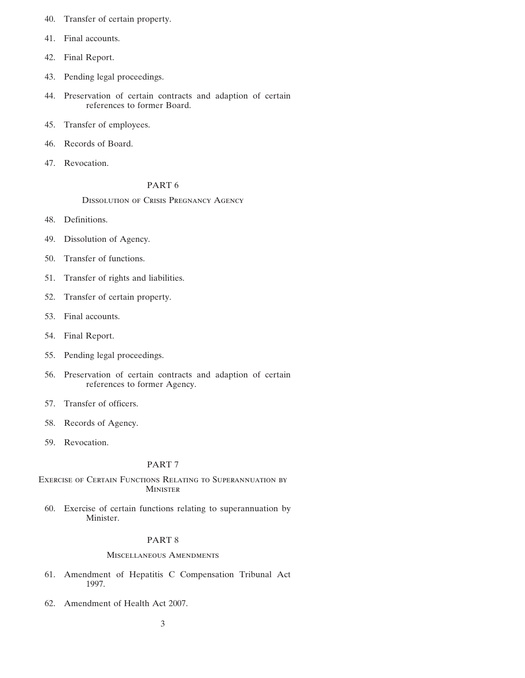- [40. Transfer of certain property.](#page-13-0)
- [41. Final accounts.](#page-14-0)
- [42. Final Report.](#page-14-0)
- [43. Pending legal proceedings.](#page-14-0)
- [44. Preservation of certain contracts and adaption of certain](#page-14-0) [references to former Board.](#page-14-0)
- [45. Transfer of employees.](#page-14-0)
- [46. Records of Board.](#page-15-0)
- [47. Revocation.](#page-15-0)

# [PART 6](#page-16-0)

[D](#page-16-0)issolution of Crisis Pregnancy Agency

- [48. Definitions.](#page-16-0)
- [49. Dissolution of Agency.](#page-16-0)
- [50. Transfer of functions.](#page-16-0)
- [51. Transfer of rights and liabilities.](#page-16-0)
- [52. Transfer of certain property.](#page-16-0)
- [53. Final accounts.](#page-16-0)
- [54. Final Report.](#page-17-0)
- [55. Pending legal proceedings.](#page-17-0)
- [56. Preservation of certain contracts and adaption of certain](#page-17-0) [references to former Agency.](#page-17-0)
- [57. Transfer of officers.](#page-17-0)
- [58. Records of Agency.](#page-18-0)
- [59. Revocation.](#page-18-0)

# [PART 7](#page-18-0)

[Ex](#page-18-0)ercise of Certain Functions Relating to Superannuation by **MINISTER** 

[60. Exercise of certain functions relating to superannuation by](#page-18-0) [Minister.](#page-18-0)

# [PART 8](#page-19-0)

## [M](#page-19-0)iscellaneous Amendments

- [61. Amendment of Hepatitis C Compensation Tribunal Act](#page-19-0) [1997.](#page-19-0)
- [62. Amendment of Health Act 2007.](#page-20-0)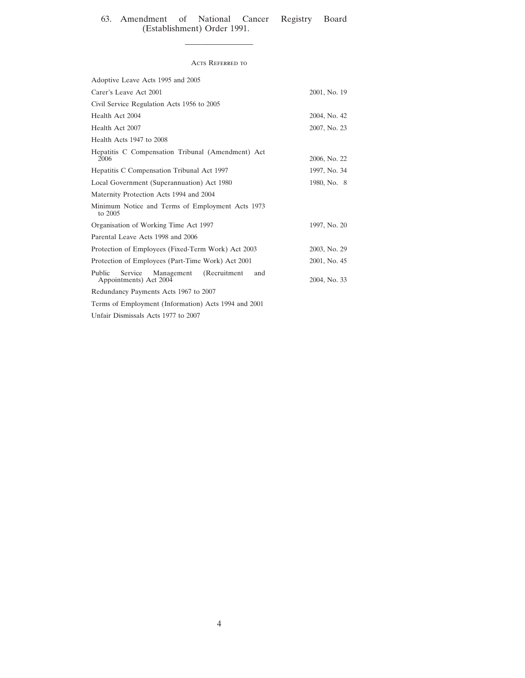## [63. Amendment of National Cancer Registry Board](#page-20-0) [\(Establishment\) Order 1991.](#page-20-0)

### Acts Referred to

————————

| Adoptive Leave Acts 1995 and 2005                                             |              |  |  |  |  |
|-------------------------------------------------------------------------------|--------------|--|--|--|--|
| Carer's Leave Act 2001                                                        | 2001, No. 19 |  |  |  |  |
| Civil Service Regulation Acts 1956 to 2005                                    |              |  |  |  |  |
| Health Act 2004                                                               | 2004, No. 42 |  |  |  |  |
| Health Act 2007                                                               | 2007, No. 23 |  |  |  |  |
| Health Acts 1947 to 2008                                                      |              |  |  |  |  |
| Hepatitis C Compensation Tribunal (Amendment) Act<br>2006                     | 2006, No. 22 |  |  |  |  |
| Hepatitis C Compensation Tribunal Act 1997                                    | 1997, No. 34 |  |  |  |  |
| Local Government (Superannuation) Act 1980                                    | 1980, No. 8  |  |  |  |  |
| Maternity Protection Acts 1994 and 2004                                       |              |  |  |  |  |
| Minimum Notice and Terms of Employment Acts 1973<br>to 2005                   |              |  |  |  |  |
| Organisation of Working Time Act 1997                                         | 1997, No. 20 |  |  |  |  |
| Parental Leave Acts 1998 and 2006                                             |              |  |  |  |  |
| Protection of Employees (Fixed-Term Work) Act 2003                            | 2003, No. 29 |  |  |  |  |
| Protection of Employees (Part-Time Work) Act 2001                             | 2001, No. 45 |  |  |  |  |
| (Recruitment<br>Service Management<br>Public<br>and<br>Appointments) Act 2004 | 2004, No. 33 |  |  |  |  |
| Redundancy Payments Acts 1967 to 2007                                         |              |  |  |  |  |
| Terms of Employment (Information) Acts 1994 and 2001                          |              |  |  |  |  |

Unfair Dismissals Acts 1977 to 2007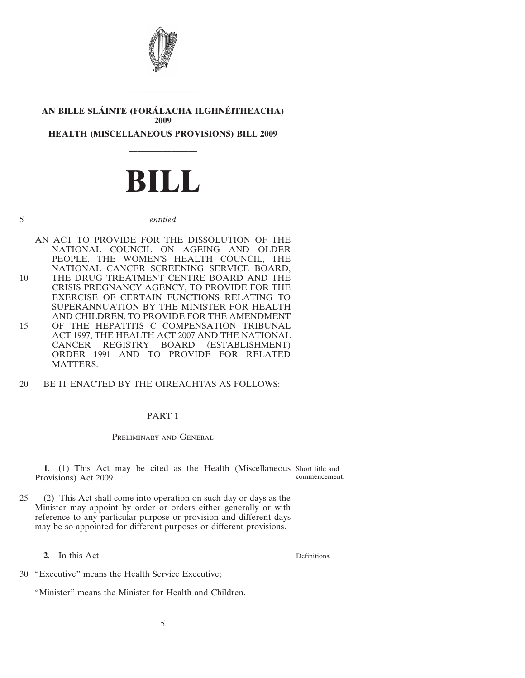

# <span id="page-4-0"></span>**AN BILLE SLA´ INTE (FORA´ LACHA ILGHNE´ ITHEACHA) 2009 HEALTH (MISCELLANEOUS PROVISIONS) BILL 2009**

————————

# **BILL**

————————

5 *entitled*

- AN ACT TO PROVIDE FOR THE DISSOLUTION OF THE NATIONAL COUNCIL ON AGEING AND OLDER PEOPLE, THE WOMEN'S HEALTH COUNCIL, THE NATIONAL CANCER SCREENING SERVICE BOARD, 10 THE DRUG TREATMENT CENTRE BOARD AND THE CRISIS PREGNANCY AGENCY, TO PROVIDE FOR THE EXERCISE OF CERTAIN FUNCTIONS RELATING TO SUPERANNUATION BY THE MINISTER FOR HEALTH AND CHILDREN, TO PROVIDE FOR THE AMENDMENT 15 OF THE HEPATITIS C COMPENSATION TRIBUNAL ACT 1997, THE HEALTH ACT 2007 AND THE NATIONAL CANCER REGISTRY BOARD (ESTABLISHMENT) ORDER 1991 AND TO PROVIDE FOR RELATED MATTERS.
- 20 BE IT ENACTED BY THE OIREACHTAS AS FOLLOWS:

# PART 1

# Preliminary and General

**1.**—(1) This Act may be cited as the Health (Miscellaneous Short title and Provisions) Act 2009. commencement.

25 (2) This Act shall come into operation on such day or days as the Minister may appoint by order or orders either generally or with reference to any particular purpose or provision and different days may be so appointed for different purposes or different provisions.

**2**.—In this Act—

Definitions.

30 "Executive" means the Health Service Executive;

"Minister" means the Minister for Health and Children.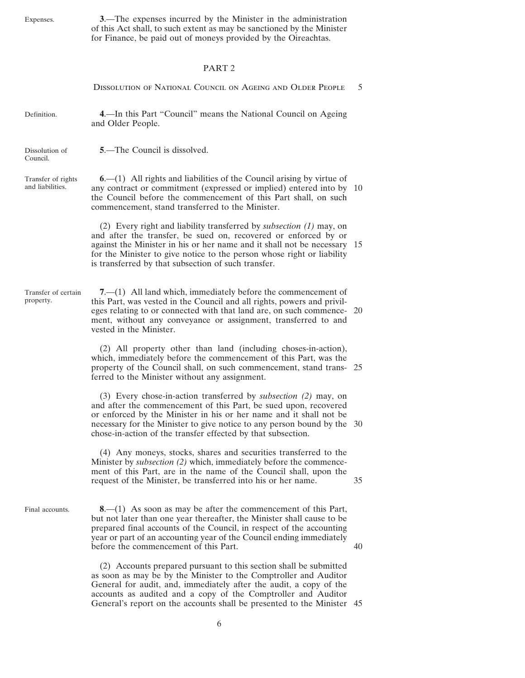<span id="page-5-0"></span>Expenses.

**3**.—The expenses incurred by the Minister in the administration of this Act shall, to such extent as may be sanctioned by the Minister for Finance, be paid out of moneys provided by the Oireachtas.

# PART 2

|                                        | DISSOLUTION OF NATIONAL COUNCIL ON AGEING AND OLDER PEOPLE                                                                                                                                                                                                                                                                                                  | 5  |
|----------------------------------------|-------------------------------------------------------------------------------------------------------------------------------------------------------------------------------------------------------------------------------------------------------------------------------------------------------------------------------------------------------------|----|
| Definition.                            | 4.—In this Part "Council" means the National Council on Ageing<br>and Older People.                                                                                                                                                                                                                                                                         |    |
| Dissolution of<br>Council.             | <b>5.</b> —The Council is dissolved.                                                                                                                                                                                                                                                                                                                        |    |
| Transfer of rights<br>and liabilities. | $6-(1)$ All rights and liabilities of the Council arising by virtue of<br>any contract or commitment (expressed or implied) entered into by 10<br>the Council before the commencement of this Part shall, on such<br>commencement, stand transferred to the Minister.                                                                                       |    |
|                                        | (2) Every right and liability transferred by <i>subsection</i> (1) may, on<br>and after the transfer, be sued on, recovered or enforced by or<br>against the Minister in his or her name and it shall not be necessary 15<br>for the Minister to give notice to the person whose right or liability<br>is transferred by that subsection of such transfer.  |    |
| Transfer of certain<br>property.       | $7-(1)$ All land which, immediately before the commencement of<br>this Part, was vested in the Council and all rights, powers and privil-<br>eges relating to or connected with that land are, on such commence- 20<br>ment, without any conveyance or assignment, transferred to and<br>vested in the Minister.                                            |    |
|                                        | (2) All property other than land (including choses-in-action),<br>which, immediately before the commencement of this Part, was the<br>property of the Council shall, on such commencement, stand trans- 25<br>ferred to the Minister without any assignment.                                                                                                |    |
|                                        | (3) Every chose-in-action transferred by <i>subsection</i> (2) may, on<br>and after the commencement of this Part, be sued upon, recovered<br>or enforced by the Minister in his or her name and it shall not be<br>necessary for the Minister to give notice to any person bound by the 30<br>chose-in-action of the transfer effected by that subsection. |    |
|                                        | (4) Any moneys, stocks, shares and securities transferred to the<br>Minister by <i>subsection</i> (2) which, immediately before the commence-<br>ment of this Part, are in the name of the Council shall, upon the<br>request of the Minister, be transferred into his or her name.                                                                         | 35 |
| Final accounts.                        | $8-(1)$ As soon as may be after the commencement of this Part,<br>but not later than one year thereafter, the Minister shall cause to be<br>prepared final accounts of the Council, in respect of the accounting<br>year or part of an accounting year of the Council ending immediately<br>before the commencement of this Part.                           | 40 |
|                                        | (2) Accounts prepared pursuant to this section shall be submitted<br>as soon as may be by the Minister to the Comptroller and Auditor<br>General for audit, and, immediately after the audit, a copy of the<br>accounts as audited and a copy of the Comptroller and Auditor                                                                                |    |

General's report on the accounts shall be presented to the Minister 45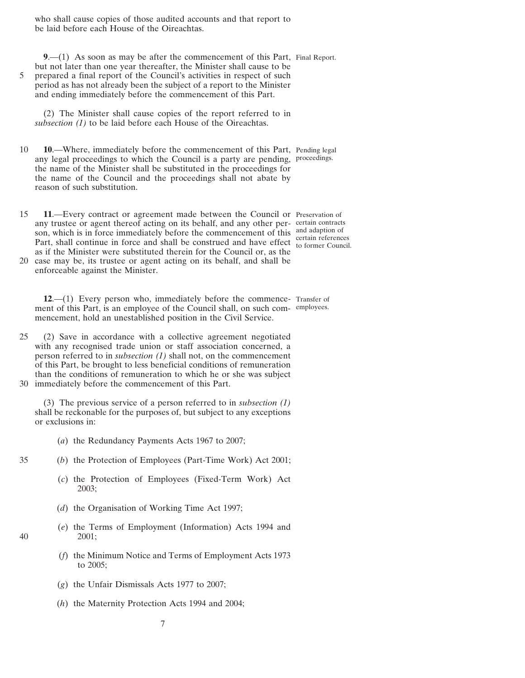<span id="page-6-0"></span>who shall cause copies of those audited accounts and that report to be laid before each House of the Oireachtas.

**9**.—(1) As soon as may be after the commencement of this Part, Final Report. but not later than one year thereafter, the Minister shall cause to be 5 prepared a final report of the Council's activities in respect of such period as has not already been the subject of a report to the Minister and ending immediately before the commencement of this Part.

(2) The Minister shall cause copies of the report referred to in *subsection (1)* to be laid before each House of the Oireachtas.

- 10 **10**.—Where, immediately before the commencement of this Part, Pending legal any legal proceedings to which the Council is a party are pending, proceedings. the name of the Minister shall be substituted in the proceedings for the name of the Council and the proceedings shall not abate by reason of such substitution.
- 15 **11**.—Every contract or agreement made between the Council or Preservation of any trustee or agent thereof acting on its behalf, and any other per-certain contracts son, which is in force immediately before the commencement of this and adaption of Part, shall continue in force and shall be construed and have effect to former Council as if the Minister were substituted therein for the Council or, as the
- 20 case may be, its trustee or agent acting on its behalf, and shall be enforceable against the Minister.

**12**.—(1) Every person who, immediately before the commence-Transfer of ment of this Part, is an employee of the Council shall, on such com-employees.mencement, hold an unestablished position in the Civil Service.

25 (2) Save in accordance with a collective agreement negotiated with any recognised trade union or staff association concerned, a person referred to in *subsection (1)* shall not, on the commencement of this Part, be brought to less beneficial conditions of remuneration than the conditions of remuneration to which he or she was subject 30 immediately before the commencement of this Part.

(3) The previous service of a person referred to in *subsection (1)* shall be reckonable for the purposes of, but subject to any exceptions or exclusions in:

- (*a*) the Redundancy Payments Acts 1967 to 2007;
- 
- 35 (*b*) the Protection of Employees (Part-Time Work) Act 2001;
	- (*c*) the Protection of Employees (Fixed-Term Work) Act 2003;
	- (*d*) the Organisation of Working Time Act 1997;
- (*e*) the Terms of Employment (Information) Acts 1994 and 40 2001;
	- (*f*) the Minimum Notice and Terms of Employment Acts 1973 to 2005;
	- (*g*) the Unfair Dismissals Acts 1977 to 2007;
	- (*h*) the Maternity Protection Acts 1994 and 2004;

to former Council.

7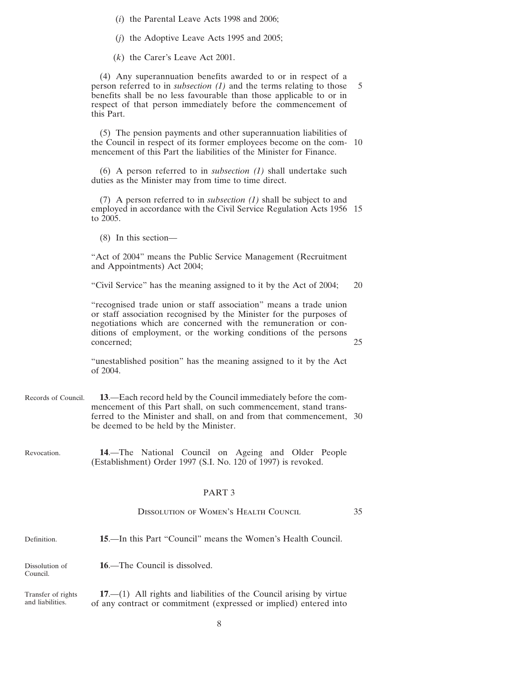<span id="page-7-0"></span>(*i*) the Parental Leave Acts 1998 and 2006;

(*j*) the Adoptive Leave Acts 1995 and 2005;

(*k*) the Carer's Leave Act 2001.

(4) Any superannuation benefits awarded to or in respect of a person referred to in *subsection [\(1\)](#page-6-0)* and the terms relating to those 5 benefits shall be no less favourable than those applicable to or in respect of that person immediately before the commencement of this Part.

(5) The pension payments and other superannuation liabilities of the Council in respect of its former employees become on the com- 10 mencement of this Part the liabilities of the Minister for Finance.

(6) A person referred to in *subsection [\(1\)](#page-6-0)* shall undertake such duties as the Minister may from time to time direct.

(7) A person referred to in *subsection [\(1\)](#page-6-0)* shall be subject to and employed in accordance with the Civil Service Regulation Acts 1956 15 to 2005.

(8) In this section—

"Act of 2004" means the Public Service Management (Recruitment and Appointments) Act 2004;

"Civil Service" has the meaning assigned to it by the Act of 2004; 20

"recognised trade union or staff association" means a trade union or staff association recognised by the Minister for the purposes of negotiations which are concerned with the remuneration or conditions of employment, or the working conditions of the persons concerned: 25

"unestablished position" has the meaning assigned to it by the Act of 2004.

- Records of Council. **13**.—Each record held by the Council immediately before the commencement of this Part shall, on such commencement, stand transferred to the Minister and shall, on and from that commencement, 30 be deemed to be held by the Minister.
- Revocation. **14**.—The National Council on Ageing and Older People (Establishment) Order 1997 (S.I. No. 120 of 1997) is revoked.

## PART 3

|                            | <b>DISSOLUTION OF WOMEN'S HEALTH COUNCIL</b><br>35                        |  |  |  |  |  |  |  |
|----------------------------|---------------------------------------------------------------------------|--|--|--|--|--|--|--|
| Definition.                | <b>15</b> —In this Part "Council" means the Women's Health Council.       |  |  |  |  |  |  |  |
| Dissolution of<br>Council. | <b>16.—The Council is dissolved.</b>                                      |  |  |  |  |  |  |  |
| Transfer of rights         | $17.$ $-$ (1) All rights and liabilities of the Council arising by virtue |  |  |  |  |  |  |  |

and liabilities. of any contract or commitment (expressed or implied) entered into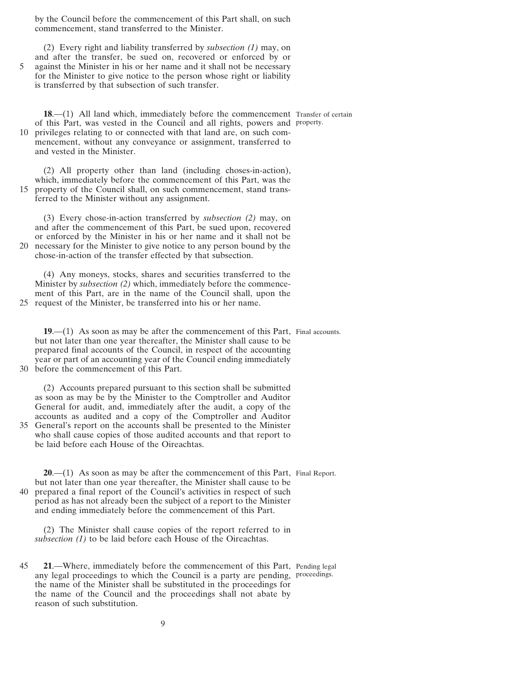<span id="page-8-0"></span>by the Council before the commencement of this Part shall, on such commencement, stand transferred to the Minister.

(2) Every right and liability transferred by *subsection [\(1\)](#page-7-0)* may, on and after the transfer, be sued on, recovered or enforced by or 5 against the Minister in his or her name and it shall not be necessary for the Minister to give notice to the person whose right or liability is transferred by that subsection of such transfer.

**18.**—(1) All land which, immediately before the commencement Transfer of certain of this Part, was vested in the Council and all rights, powers and property. 10 privileges relating to or connected with that land are, on such commencement, without any conveyance or assignment, transferred to and vested in the Minister.

(2) All property other than land (including choses-in-action), which, immediately before the commencement of this Part, was the 15 property of the Council shall, on such commencement, stand transferred to the Minister without any assignment.

(3) Every chose-in-action transferred by *subsection (2)* may, on and after the commencement of this Part, be sued upon, recovered or enforced by the Minister in his or her name and it shall not be 20 necessary for the Minister to give notice to any person bound by the chose-in-action of the transfer effected by that subsection.

(4) Any moneys, stocks, shares and securities transferred to the Minister by *subsection (2)* which, immediately before the commencement of this Part, are in the name of the Council shall, upon the 25 request of the Minister, be transferred into his or her name.

**19.**—(1) As soon as may be after the commencement of this Part, Final accounts. but not later than one year thereafter, the Minister shall cause to be prepared final accounts of the Council, in respect of the accounting year or part of an accounting year of the Council ending immediately 30 before the commencement of this Part.

(2) Accounts prepared pursuant to this section shall be submitted as soon as may be by the Minister to the Comptroller and Auditor General for audit, and, immediately after the audit, a copy of the accounts as audited and a copy of the Comptroller and Auditor 35 General's report on the accounts shall be presented to the Minister who shall cause copies of those audited accounts and that report to be laid before each House of the Oireachtas.

**20.**—(1) As soon as may be after the commencement of this Part, Final Report. but not later than one year thereafter, the Minister shall cause to be 40 prepared a final report of the Council's activities in respect of such period as has not already been the subject of a report to the Minister and ending immediately before the commencement of this Part.

(2) The Minister shall cause copies of the report referred to in *subsection (1)* to be laid before each House of the Oireachtas.

45 **21**.—Where, immediately before the commencement of this Part, Pending legal any legal proceedings to which the Council is a party are pending, proceedings.the name of the Minister shall be substituted in the proceedings for the name of the Council and the proceedings shall not abate by reason of such substitution.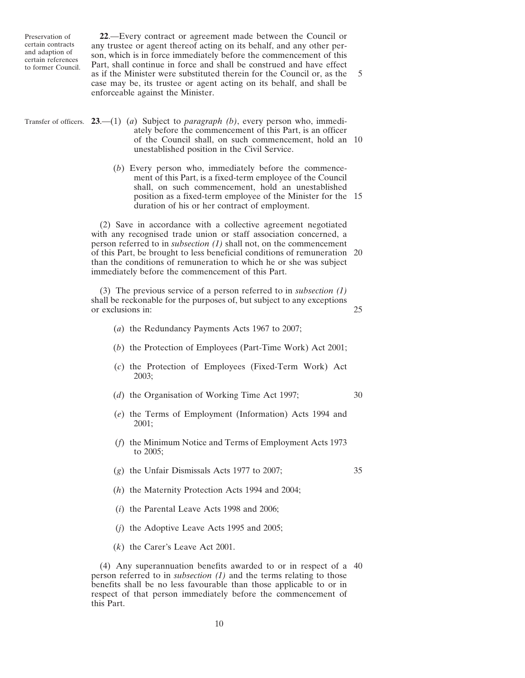<span id="page-9-0"></span>

**22**.—Every contract or agreement made between the Council or any trustee or agent thereof acting on its behalf, and any other person, which is in force immediately before the commencement of this Part, shall continue in force and shall be construed and have effect as if the Minister were substituted therein for the Council or, as the 5 case may be, its trustee or agent acting on its behalf, and shall be enforceable against the Minister.

|                                                                                                                                                                            | Transfer of officers. 23.—(1) (a) Subject to <i>paragraph</i> (b), every person who, immedi-<br>ately before the commencement of this Part, is an officer<br>of the Council shall, on such commencement, hold an 10<br>unestablished position in the Civil Service.                                                                                                                                                        |    |  |  |  |  |  |
|----------------------------------------------------------------------------------------------------------------------------------------------------------------------------|----------------------------------------------------------------------------------------------------------------------------------------------------------------------------------------------------------------------------------------------------------------------------------------------------------------------------------------------------------------------------------------------------------------------------|----|--|--|--|--|--|
|                                                                                                                                                                            | (b) Every person who, immediately before the commence-<br>ment of this Part, is a fixed-term employee of the Council<br>shall, on such commencement, hold an unestablished<br>position as a fixed-term employee of the Minister for the 15<br>duration of his or her contract of employment.                                                                                                                               |    |  |  |  |  |  |
|                                                                                                                                                                            | (2) Save in accordance with a collective agreement negotiated<br>with any recognised trade union or staff association concerned, a<br>person referred to in <i>subsection</i> $(1)$ shall not, on the commencement<br>of this Part, be brought to less beneficial conditions of remuneration 20<br>than the conditions of remuneration to which he or she was subject<br>immediately before the commencement of this Part. |    |  |  |  |  |  |
| (3) The previous service of a person referred to in <i>subsection</i> $(1)$<br>shall be reckonable for the purposes of, but subject to any exceptions<br>or exclusions in: |                                                                                                                                                                                                                                                                                                                                                                                                                            |    |  |  |  |  |  |
|                                                                                                                                                                            | (a) the Redundancy Payments Acts 1967 to 2007;                                                                                                                                                                                                                                                                                                                                                                             |    |  |  |  |  |  |
|                                                                                                                                                                            | (b) the Protection of Employees (Part-Time Work) Act 2001;                                                                                                                                                                                                                                                                                                                                                                 |    |  |  |  |  |  |
|                                                                                                                                                                            | (c) the Protection of Employees (Fixed-Term Work) Act<br>2003;                                                                                                                                                                                                                                                                                                                                                             |    |  |  |  |  |  |
|                                                                                                                                                                            | (d) the Organisation of Working Time Act 1997;                                                                                                                                                                                                                                                                                                                                                                             | 30 |  |  |  |  |  |
|                                                                                                                                                                            | (e) the Terms of Employment (Information) Acts 1994 and<br>2001;                                                                                                                                                                                                                                                                                                                                                           |    |  |  |  |  |  |
|                                                                                                                                                                            | (f) the Minimum Notice and Terms of Employment Acts 1973<br>to $2005$ ;                                                                                                                                                                                                                                                                                                                                                    |    |  |  |  |  |  |
|                                                                                                                                                                            | $(g)$ the Unfair Dismissals Acts 1977 to 2007;                                                                                                                                                                                                                                                                                                                                                                             | 35 |  |  |  |  |  |
|                                                                                                                                                                            | $(h)$ the Maternity Protection Acts 1994 and 2004;                                                                                                                                                                                                                                                                                                                                                                         |    |  |  |  |  |  |
|                                                                                                                                                                            | $(i)$ the Parental Leave Acts 1998 and 2006;                                                                                                                                                                                                                                                                                                                                                                               |    |  |  |  |  |  |
|                                                                                                                                                                            | $(i)$ the Adoptive Leave Acts 1995 and 2005;                                                                                                                                                                                                                                                                                                                                                                               |    |  |  |  |  |  |
|                                                                                                                                                                            | $(k)$ the Carer's Leave Act 2001.                                                                                                                                                                                                                                                                                                                                                                                          |    |  |  |  |  |  |
|                                                                                                                                                                            | (4) Any superannuation benefits awarded to or in respect of a 40<br>person referred to in <i>subsection</i> $(1)$ and the terms relating to those                                                                                                                                                                                                                                                                          |    |  |  |  |  |  |

benefits shall be no less favourable than those applicable to or in respect of that person immediately before the commencement of this Part.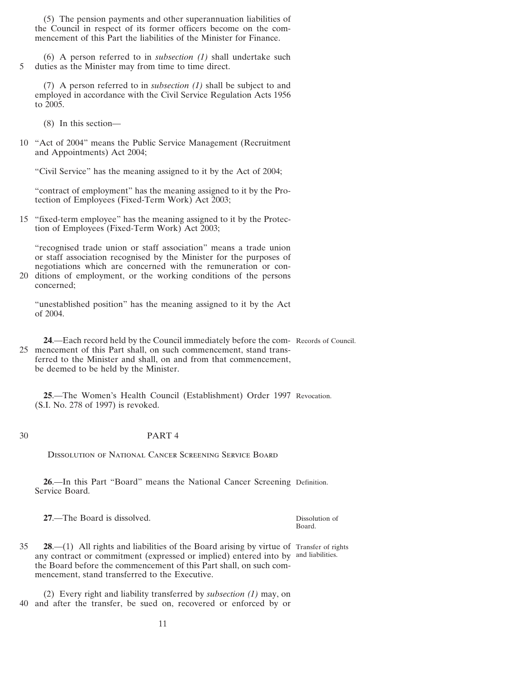<span id="page-10-0"></span>(5) The pension payments and other superannuation liabilities of the Council in respect of its former officers become on the commencement of this Part the liabilities of the Minister for Finance.

(6) A person referred to in *subsection [\(1\)](#page-9-0)* shall undertake such 5 duties as the Minister may from time to time direct.

(7) A person referred to in *subsection [\(1\)](#page-9-0)* shall be subject to and employed in accordance with the Civil Service Regulation Acts 1956 to 2005.

(8) In this section—

10 "Act of 2004" means the Public Service Management (Recruitment and Appointments) Act 2004;

"Civil Service" has the meaning assigned to it by the Act of 2004;

"contract of employment" has the meaning assigned to it by the Protection of Employees (Fixed-Term Work) Act 2003;

15 "fixed-term employee" has the meaning assigned to it by the Protection of Employees (Fixed-Term Work) Act 2003;

"recognised trade union or staff association" means a trade union or staff association recognised by the Minister for the purposes of negotiations which are concerned with the remuneration or con-20 ditions of employment, or the working conditions of the persons

concerned;

"unestablished position" has the meaning assigned to it by the Act of 2004.

**24**.—Each record held by the Council immediately before the com-Records of Council. 25 mencement of this Part shall, on such commencement, stand transferred to the Minister and shall, on and from that commencement, be deemed to be held by the Minister.

**25**.—The Women's Health Council (Establishment) Order 1997 Revocation. (S.I. No. 278 of 1997) is revoked.

## 30 PART 4

Dissolution of National Cancer Screening Service Board

**26**.—In this Part "Board" means the National Cancer Screening Definition. Service Board.

**27**.—The Board is dissolved.

Dissolution of Board.

**28.**—(1) All rights and liabilities of the Board arising by virtue of Transfer of rights any contract or commitment (expressed or implied) entered into by and liabilities.the Board before the commencement of this Part shall, on such commencement, stand transferred to the Executive.

(2) Every right and liability transferred by *subsection (1)* may, on 40 and after the transfer, be sued on, recovered or enforced by or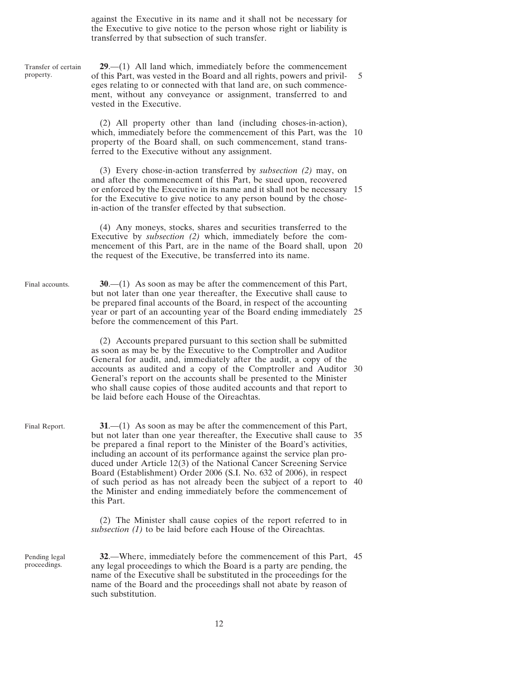against the Executive in its name and it shall not be necessary for the Executive to give notice to the person whose right or liability is transferred by that subsection of such transfer.

<span id="page-11-0"></span>Transfer of certain property. Final accounts. Final Report. **29**.—(1) All land which, immediately before the commencement of this Part, was vested in the Board and all rights, powers and privil- 5 eges relating to or connected with that land are, on such commencement, without any conveyance or assignment, transferred to and vested in the Executive. (2) All property other than land (including choses-in-action), which, immediately before the commencement of this Part, was the 10 property of the Board shall, on such commencement, stand transferred to the Executive without any assignment. (3) Every chose-in-action transferred by *subsection (2)* may, on and after the commencement of this Part, be sued upon, recovered or enforced by the Executive in its name and it shall not be necessary 15 for the Executive to give notice to any person bound by the chosein-action of the transfer effected by that subsection. (4) Any moneys, stocks, shares and securities transferred to the Executive by *subsection (2)* which, immediately before the commencement of this Part, are in the name of the Board shall, upon 20 the request of the Executive, be transferred into its name. **30**.—(1) As soon as may be after the commencement of this Part, but not later than one year thereafter, the Executive shall cause to be prepared final accounts of the Board, in respect of the accounting year or part of an accounting year of the Board ending immediately 25 before the commencement of this Part. (2) Accounts prepared pursuant to this section shall be submitted as soon as may be by the Executive to the Comptroller and Auditor General for audit, and, immediately after the audit, a copy of the accounts as audited and a copy of the Comptroller and Auditor 30 General's report on the accounts shall be presented to the Minister who shall cause copies of those audited accounts and that report to be laid before each House of the Oireachtas. **31**.—(1) As soon as may be after the commencement of this Part, but not later than one year thereafter, the Executive shall cause to 35 be prepared a final report to the Minister of the Board's activities, including an account of its performance against the service plan produced under Article 12(3) of the National Cancer Screening Service Board (Establishment) Order 2006 (S.I. No. 632 of 2006), in respect of such period as has not already been the subject of a report to 40 the Minister and ending immediately before the commencement of this Part.

> (2) The Minister shall cause copies of the report referred to in *subsection (1)* to be laid before each House of the Oireachtas.

Pending legal proceedings.

**32**.—Where, immediately before the commencement of this Part, 45 any legal proceedings to which the Board is a party are pending, the name of the Executive shall be substituted in the proceedings for the name of the Board and the proceedings shall not abate by reason of such substitution.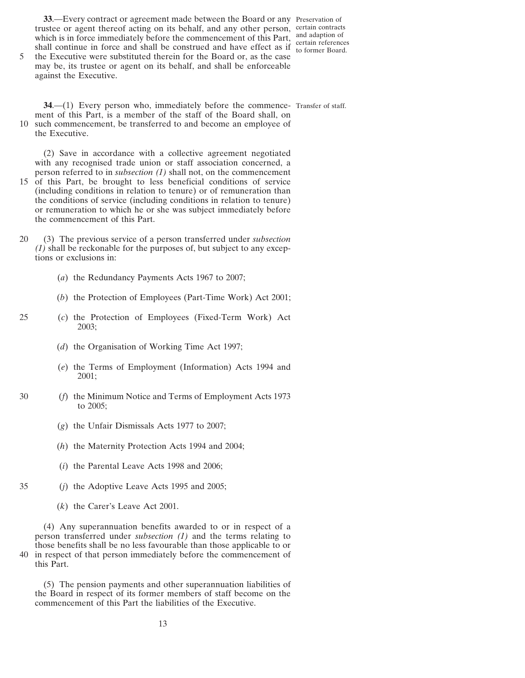<span id="page-12-0"></span>**33**.—Every contract or agreement made between the Board or any Preservation of trustee or agent thereof acting on its behalf, and any other person, certain contracts which is in force immediately before the commencement of this Part, shall continue in force and shall be construed and have effect as if

and adaption of certain references to former Board.

5 the Executive were substituted therein for the Board or, as the case may be, its trustee or agent on its behalf, and shall be enforceable against the Executive.

**34.**—(1) Every person who, immediately before the commence- Transfer of staff. ment of this Part, is a member of the staff of the Board shall, on 10 such commencement, be transferred to and become an employee of the Executive.

(2) Save in accordance with a collective agreement negotiated with any recognised trade union or staff association concerned, a person referred to in *subsection (1)* shall not, on the commencement

- 15 of this Part, be brought to less beneficial conditions of service (including conditions in relation to tenure) or of remuneration than the conditions of service (including conditions in relation to tenure) or remuneration to which he or she was subject immediately before the commencement of this Part.
- 20 (3) The previous service of a person transferred under *subsection (1)* shall be reckonable for the purposes of, but subject to any exceptions or exclusions in:
	- (*a*) the Redundancy Payments Acts 1967 to 2007;
	- (*b*) the Protection of Employees (Part-Time Work) Act 2001;
- 25 (*c*) the Protection of Employees (Fixed-Term Work) Act 2003;
	- (*d*) the Organisation of Working Time Act 1997;
	- (*e*) the Terms of Employment (Information) Acts 1994 and 2001;
- 30 (*f*) the Minimum Notice and Terms of Employment Acts 1973 to 2005;
	- (*g*) the Unfair Dismissals Acts 1977 to 2007;
	- (*h*) the Maternity Protection Acts 1994 and 2004;
	- (*i*) the Parental Leave Acts 1998 and 2006;
- 
- 35 (*j*) the Adoptive Leave Acts 1995 and 2005;
	- (*k*) the Carer's Leave Act 2001.

(4) Any superannuation benefits awarded to or in respect of a person transferred under *subsection (1)* and the terms relating to those benefits shall be no less favourable than those applicable to or 40 in respect of that person immediately before the commencement of this Part.

(5) The pension payments and other superannuation liabilities of the Board in respect of its former members of staff become on the commencement of this Part the liabilities of the Executive.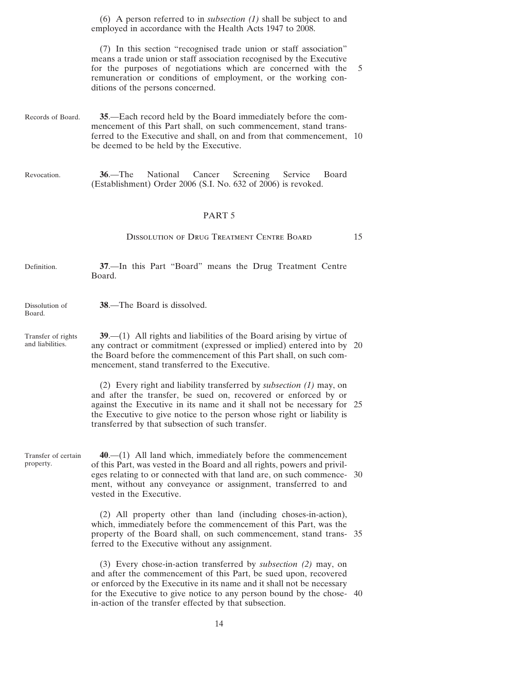<span id="page-13-0"></span>(6) A person referred to in *subsection [\(1\)](#page-12-0)* shall be subject to and employed in accordance with the Health Acts 1947 to 2008.

(7) In this section "recognised trade union or staff association" means a trade union or staff association recognised by the Executive for the purposes of negotiations which are concerned with the 5 remuneration or conditions of employment, or the working conditions of the persons concerned.

- Records of Board. **35**.—Each record held by the Board immediately before the commencement of this Part shall, on such commencement, stand transferred to the Executive and shall, on and from that commencement, 10 be deemed to be held by the Executive.
- Revocation. **36**.—The National Cancer Screening Service Board (Establishment) Order 2006 (S.I. No. 632 of 2006) is revoked.

## PART 5

## DISSOLUTION OF DRUG TREATMENT CENTRE BOARD 15

| Definition. |        |  |  |  | 37.—In this Part "Board" means the Drug Treatment Centre |  |
|-------------|--------|--|--|--|----------------------------------------------------------|--|
|             | Board. |  |  |  |                                                          |  |

Dissolution of Board. **38**.—The Board is dissolved.

property.

Transfer of rights and liabilities. **39**.—(1) All rights and liabilities of the Board arising by virtue of any contract or commitment (expressed or implied) entered into by 20 the Board before the commencement of this Part shall, on such commencement, stand transferred to the Executive.

> (2) Every right and liability transferred by *subsection (1)* may, on and after the transfer, be sued on, recovered or enforced by or against the Executive in its name and it shall not be necessary for 25 the Executive to give notice to the person whose right or liability is transferred by that subsection of such transfer.

Transfer of certain **40**.—(1) All land which, immediately before the commencement of this Part, was vested in the Board and all rights, powers and privileges relating to or connected with that land are, on such commence- 30 ment, without any conveyance or assignment, transferred to and vested in the Executive.

> (2) All property other than land (including choses-in-action), which, immediately before the commencement of this Part, was the property of the Board shall, on such commencement, stand trans- 35 ferred to the Executive without any assignment.

> (3) Every chose-in-action transferred by *subsection (2)* may, on and after the commencement of this Part, be sued upon, recovered or enforced by the Executive in its name and it shall not be necessary for the Executive to give notice to any person bound by the chose- 40 in-action of the transfer effected by that subsection.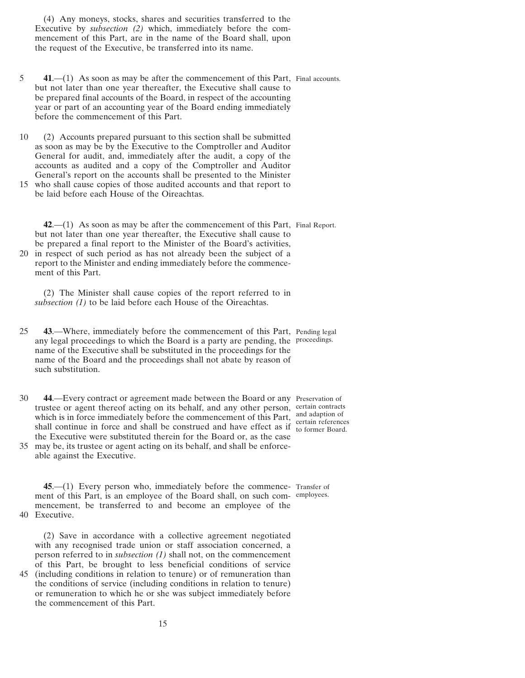<span id="page-14-0"></span>(4) Any moneys, stocks, shares and securities transferred to the Executive by *subsection [\(2\)](#page-13-0)* which, immediately before the commencement of this Part, are in the name of the Board shall, upon the request of the Executive, be transferred into its name.

- 5 **41.**—(1) As soon as may be after the commencement of this Part, Final accounts. but not later than one year thereafter, the Executive shall cause to be prepared final accounts of the Board, in respect of the accounting year or part of an accounting year of the Board ending immediately before the commencement of this Part.
- 10 (2) Accounts prepared pursuant to this section shall be submitted as soon as may be by the Executive to the Comptroller and Auditor General for audit, and, immediately after the audit, a copy of the accounts as audited and a copy of the Comptroller and Auditor General's report on the accounts shall be presented to the Minister
- 15 who shall cause copies of those audited accounts and that report to be laid before each House of the Oireachtas.

**42**.—(1) As soon as may be after the commencement of this Part, Final Report. but not later than one year thereafter, the Executive shall cause to be prepared a final report to the Minister of the Board's activities, 20 in respect of such period as has not already been the subject of a

report to the Minister and ending immediately before the commencement of this Part.

(2) The Minister shall cause copies of the report referred to in *subsection (1)* to be laid before each House of the Oireachtas.

- 25 **43**.—Where, immediately before the commencement of this Part, Pending legal any legal proceedings to which the Board is a party are pending, the proceedings. name of the Executive shall be substituted in the proceedings for the name of the Board and the proceedings shall not abate by reason of such substitution.
- 30 **44**.—Every contract or agreement made between the Board or any Preservation of trustee or agent thereof acting on its behalf, and any other person, which is in force immediately before the commencement of this Part, shall continue in force and shall be construed and have effect as if the Executive were substituted therein for the Board or, as the case
- 35 may be, its trustee or agent acting on its behalf, and shall be enforceable against the Executive.

**45**.—(1) Every person who, immediately before the commence-Transfer of ment of this Part, is an employee of the Board shall, on such com-employees.mencement, be transferred to and become an employee of the 40 Executive.

(2) Save in accordance with a collective agreement negotiated with any recognised trade union or staff association concerned, a person referred to in *subsection (1)* shall not, on the commencement of this Part, be brought to less beneficial conditions of service 45 (including conditions in relation to tenure) or of remuneration than

the conditions of service (including conditions in relation to tenure) or remuneration to which he or she was subject immediately before the commencement of this Part.

certain contracts and adaption of certain references to former Board.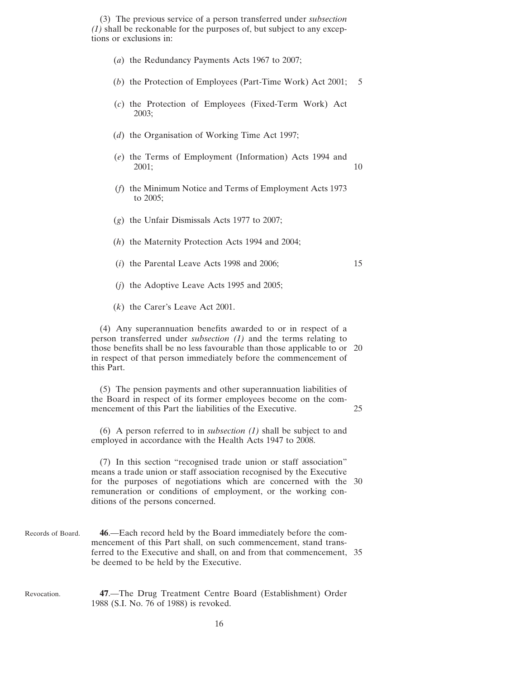<span id="page-15-0"></span>(3) The previous service of a person transferred under *subsection [\(1\)](#page-14-0)* shall be reckonable for the purposes of, but subject to any exceptions or exclusions in:

- (*a*) the Redundancy Payments Acts 1967 to 2007;
- (*b*) the Protection of Employees (Part-Time Work) Act 2001; 5
- (*c*) the Protection of Employees (Fixed-Term Work) Act 2003;
- (*d*) the Organisation of Working Time Act 1997;
- (*e*) the Terms of Employment (Information) Acts 1994 and 2001; 10
- (*f*) the Minimum Notice and Terms of Employment Acts 1973 to 2005;
- (*g*) the Unfair Dismissals Acts 1977 to 2007;
- (*h*) the Maternity Protection Acts 1994 and 2004;
- $(i)$  the Parental Leave Acts 1998 and 2006; 15
- (*j*) the Adoptive Leave Acts 1995 and 2005;
- (*k*) the Carer's Leave Act 2001.

(4) Any superannuation benefits awarded to or in respect of a person transferred under *subsection [\(1\)](#page-14-0)* and the terms relating to those benefits shall be no less favourable than those applicable to or 20 in respect of that person immediately before the commencement of this Part.

(5) The pension payments and other superannuation liabilities of the Board in respect of its former employees become on the commencement of this Part the liabilities of the Executive. 25

(6) A person referred to in *subsection [\(1\)](#page-14-0)* shall be subject to and employed in accordance with the Health Acts 1947 to 2008.

(7) In this section "recognised trade union or staff association" means a trade union or staff association recognised by the Executive for the purposes of negotiations which are concerned with the 30 remuneration or conditions of employment, or the working conditions of the persons concerned.

- Records of Board. **46**.—Each record held by the Board immediately before the commencement of this Part shall, on such commencement, stand transferred to the Executive and shall, on and from that commencement, 35 be deemed to be held by the Executive.
- Revocation. **47**.—The Drug Treatment Centre Board (Establishment) Order 1988 (S.I. No. 76 of 1988) is revoked.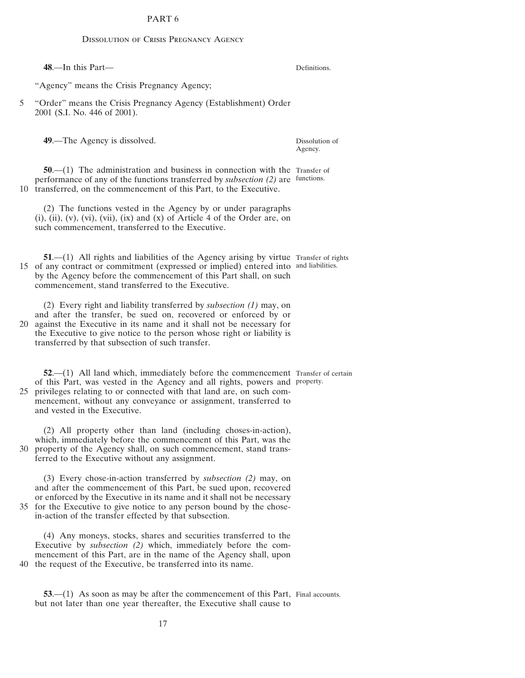# PART 6

#### Dissolution of Crisis Pregnancy Agency

<span id="page-16-0"></span>**48**.—In this Part— "Agency" means the Crisis Pregnancy Agency; 5 "Order" means the Crisis Pregnancy Agency (Establishment) Order 2001 (S.I. No. 446 of 2001). **49**.—The Agency is dissolved. **50.**—(1) The administration and business in connection with the Transfer of performance of any of the functions transferred by *subsection (2)* are functions. 10 transferred, on the commencement of this Part, to the Executive. (2) The functions vested in the Agency by or under paragraphs  $(i)$ ,  $(ii)$ ,  $(v)$ ,  $(vi)$ ,  $(vii)$ ,  $(ix)$  and  $(x)$  of Article 4 of the Order are, on such commencement, transferred to the Executive. **51.**—(1) All rights and liabilities of the Agency arising by virtue Transfer of rights 15 of any contract or commitment (expressed or implied) entered into and liabilities. by the Agency before the commencement of this Part shall, on such commencement, stand transferred to the Executive. (2) Every right and liability transferred by *subsection (1)* may, on and after the transfer, be sued on, recovered or enforced by or 20 against the Executive in its name and it shall not be necessary for the Executive to give notice to the person whose right or liability is transferred by that subsection of such transfer. Dissolution of Agency.

**52.**—(1) All land which, immediately before the commencement Transfer of certain of this Part, was vested in the Agency and all rights, powers and property. 25 privileges relating to or connected with that land are, on such commencement, without any conveyance or assignment, transferred to and vested in the Executive.

(2) All property other than land (including choses-in-action), which, immediately before the commencement of this Part, was the 30 property of the Agency shall, on such commencement, stand transferred to the Executive without any assignment.

(3) Every chose-in-action transferred by *subsection (2)* may, on and after the commencement of this Part, be sued upon, recovered or enforced by the Executive in its name and it shall not be necessary 35 for the Executive to give notice to any person bound by the chosein-action of the transfer effected by that subsection.

(4) Any moneys, stocks, shares and securities transferred to the Executive by *subsection (2)* which, immediately before the commencement of this Part, are in the name of the Agency shall, upon 40 the request of the Executive, be transferred into its name.

**53.**—(1) As soon as may be after the commencement of this Part, Final accounts. but not later than one year thereafter, the Executive shall cause to

Definitions.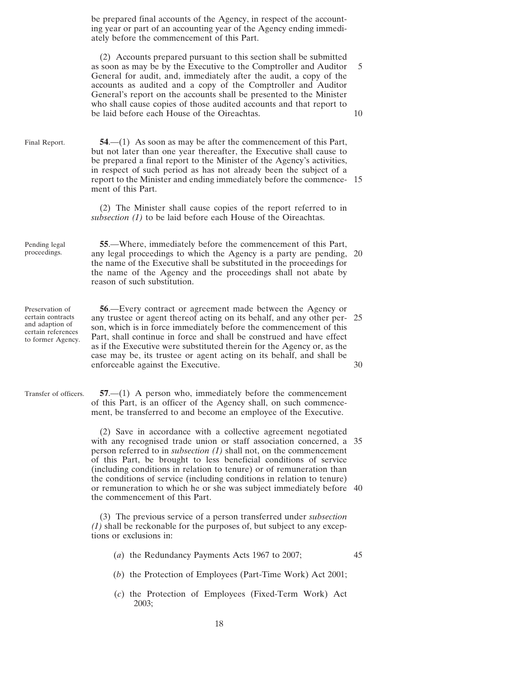<span id="page-17-0"></span>be prepared final accounts of the Agency, in respect of the accounting year or part of an accounting year of the Agency ending immediately before the commencement of this Part.

(2) Accounts prepared pursuant to this section shall be submitted as soon as may be by the Executive to the Comptroller and Auditor 5 General for audit, and, immediately after the audit, a copy of the accounts as audited and a copy of the Comptroller and Auditor General's report on the accounts shall be presented to the Minister who shall cause copies of those audited accounts and that report to be laid before each House of the Oireachtas. 10

Final Report. **54**.—(1) As soon as may be after the commencement of this Part, but not later than one year thereafter, the Executive shall cause to be prepared a final report to the Minister of the Agency's activities, in respect of such period as has not already been the subject of a report to the Minister and ending immediately before the commence- 15 ment of this Part.

> (2) The Minister shall cause copies of the report referred to in *subsection (1)* to be laid before each House of the Oireachtas.

Pending legal proceedings.

**55**.—Where, immediately before the commencement of this Part, any legal proceedings to which the Agency is a party are pending, 20 the name of the Executive shall be substituted in the proceedings for the name of the Agency and the proceedings shall not abate by reason of such substitution.

Preservation of certain contracts and adaption of certain references to former Agency.

**56**.—Every contract or agreement made between the Agency or any trustee or agent thereof acting on its behalf, and any other per- 25 son, which is in force immediately before the commencement of this Part, shall continue in force and shall be construed and have effect as if the Executive were substituted therein for the Agency or, as the case may be, its trustee or agent acting on its behalf, and shall be enforceable against the Executive. 30

Transfer of officers. **57**.—(1) A person who, immediately before the commencement of this Part, is an officer of the Agency shall, on such commencement, be transferred to and become an employee of the Executive.

> (2) Save in accordance with a collective agreement negotiated with any recognised trade union or staff association concerned, a 35 person referred to in *subsection (1)* shall not, on the commencement of this Part, be brought to less beneficial conditions of service (including conditions in relation to tenure) or of remuneration than the conditions of service (including conditions in relation to tenure) or remuneration to which he or she was subject immediately before 40 the commencement of this Part.

(3) The previous service of a person transferred under *subsection (1)* shall be reckonable for the purposes of, but subject to any exceptions or exclusions in:

(*a*) the Redundancy Payments Acts 1967 to 2007; 45

- (*b*) the Protection of Employees (Part-Time Work) Act 2001;
- (*c*) the Protection of Employees (Fixed-Term Work) Act 2003;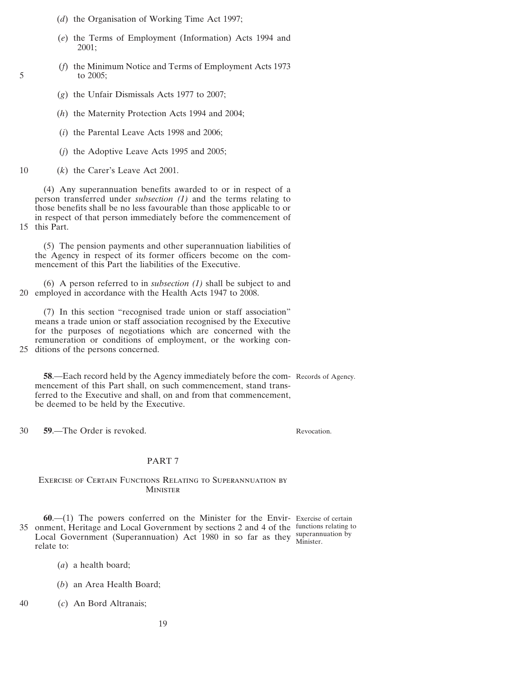- <span id="page-18-0"></span>(*d*) the Organisation of Working Time Act 1997;
- (*e*) the Terms of Employment (Information) Acts 1994 and 2001;
- (*f*) the Minimum Notice and Terms of Employment Acts 1973 5 to 2005;
	- (*g*) the Unfair Dismissals Acts 1977 to 2007;
	- (*h*) the Maternity Protection Acts 1994 and 2004;
	- (*i*) the Parental Leave Acts 1998 and 2006;
	- (*j*) the Adoptive Leave Acts 1995 and 2005;
- 10 (*k*) the Carer's Leave Act 2001.

(4) Any superannuation benefits awarded to or in respect of a person transferred under *subsection [\(1\)](#page-17-0)* and the terms relating to those benefits shall be no less favourable than those applicable to or in respect of that person immediately before the commencement of 15 this Part.

(5) The pension payments and other superannuation liabilities of the Agency in respect of its former officers become on the commencement of this Part the liabilities of the Executive.

(6) A person referred to in *subsection [\(1\)](#page-17-0)* shall be subject to and 20 employed in accordance with the Health Acts 1947 to 2008.

(7) In this section "recognised trade union or staff association" means a trade union or staff association recognised by the Executive for the purposes of negotiations which are concerned with the remuneration or conditions of employment, or the working con-25 ditions of the persons concerned.

**58**.—Each record held by the Agency immediately before the com-Records of Agency. mencement of this Part shall, on such commencement, stand transferred to the Executive and shall, on and from that commencement, be deemed to be held by the Executive.

30 **59**.—The Order is revoked.

Revocation.

## PART 7

## Exercise of Certain Functions Relating to Superannuation by **MINISTER**

**60**.—(1) The powers conferred on the Minister for the Envir-Exercise of certain 35 onment, Heritage and Local Government by sections 2 and 4 of the functions relating to Local Government (Superannuation) Act 1980 in so far as they superannuation by relate to: Minister.

- (*a*) a health board;
- (*b*) an Area Health Board;
- 40 (*c*) An Bord Altranais;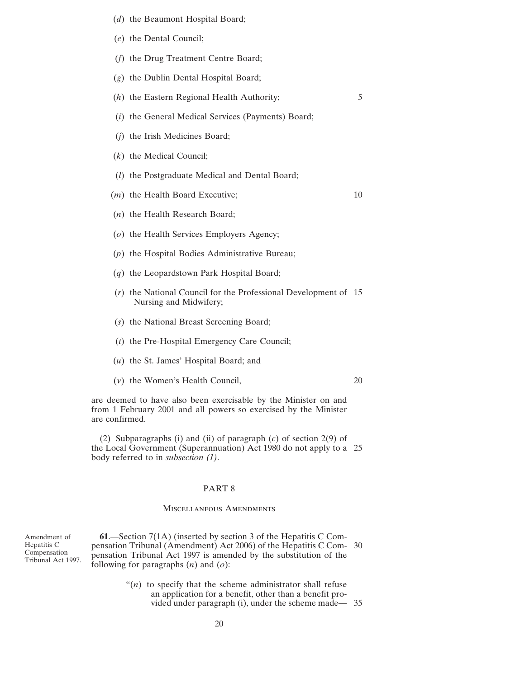- <span id="page-19-0"></span>(*d*) the Beaumont Hospital Board;
- (*e*) the Dental Council;
- (*f*) the Drug Treatment Centre Board;
- (*g*) the Dublin Dental Hospital Board;
- (*h*) the Eastern Regional Health Authority; 5
- (*i*) the General Medical Services (Payments) Board;
- (*j*) the Irish Medicines Board;
- (*k*) the Medical Council;
- (*l*) the Postgraduate Medical and Dental Board;
- (*m*) the Health Board Executive; 10
- (*n*) the Health Research Board;
- (*o*) the Health Services Employers Agency;
- (*p*) the Hospital Bodies Administrative Bureau;
- (*q*) the Leopardstown Park Hospital Board;
- (*r*) the National Council for the Professional Development of 15 Nursing and Midwifery;
- (*s*) the National Breast Screening Board;
- (*t*) the Pre-Hospital Emergency Care Council;
- (*u*) the St. James' Hospital Board; and
- (*v*) the Women's Health Council, 20

are deemed to have also been exercisable by the Minister on and from 1 February 2001 and all powers so exercised by the Minister are confirmed.

(2) Subparagraphs (i) and (ii) of paragraph (*c*) of section 2(9) of the Local Government (Superannuation) Act 1980 do not apply to a 25 body referred to in *subsection [\(1\)](#page-18-0)*.

### PART 8

## Miscellaneous Amendments

Amendment of Hepatitis C Compensation Tribunal Act 1997.

**61**.—Section 7(1A) (inserted by section 3 of the Hepatitis C Compensation Tribunal (Amendment) Act 2006) of the Hepatitis C Com- 30 pensation Tribunal Act 1997 is amended by the substitution of the following for paragraphs (*n*) and (*o*):

> " $(n)$  to specify that the scheme administrator shall refuse an application for a benefit, other than a benefit provided under paragraph (i), under the scheme made— 35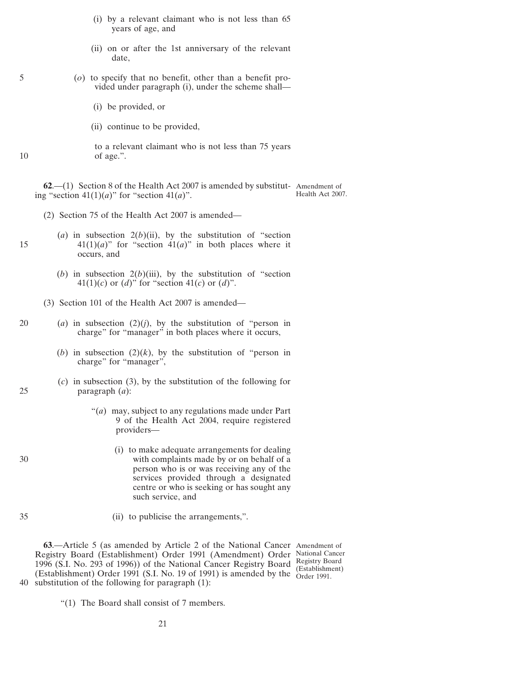- (i) by a relevant claimant who is not less than 65 years of age, and
- (ii) on or after the 1st anniversary of the relevant date,
- <span id="page-20-0"></span>5 (*o*) to specify that no benefit, other than a benefit provided under paragraph (i), under the scheme shall—
	- (i) be provided, or
	- (ii) continue to be provided,

to a relevant claimant who is not less than 75 years 10 of age.".

**62**.—(1) Section 8 of the Health Act 2007 is amended by substitut-Amendment of ing "section  $41(1)(a)$ " for "section  $41(a)$ ". Health Act 2007.

- (2) Section 75 of the Health Act 2007 is amended—
- (*a*) in subsection  $2(b)(ii)$ , by the substitution of "section 15  $41(1)(a)$ " for "section  $41(a)$ " in both places where it occurs, and
	- (*b*) in subsection  $2(b)(iii)$ , by the substitution of "section" 41(1)(*c*) or (*d*)" for "section 41(*c*) or (*d*)".
	- (3) Section 101 of the Health Act 2007 is amended—
- 20 (*a*) in subsection (2)(*j*), by the substitution of "person in charge" for "manager" in both places where it occurs,
	- (*b*) in subsection  $(2)(k)$ , by the substitution of "person in charge" for "manager",
- (*c*) in subsection (3), by the substitution of the following for 25 paragraph (*a*):
	- "(*a*) may, subject to any regulations made under Part 9 of the Health Act 2004, require registered providers—
- (i) to make adequate arrangements for dealing 30 with complaints made by or on behalf of a person who is or was receiving any of the services provided through a designated centre or who is seeking or has sought any such service, and
- 
- 35 (ii) to publicise the arrangements,".

**63**.—Article 5 (as amended by Article 2 of the National Cancer Amendment of Registry Board (Establishment) Order 1991 (Amendment) Order National Cancer 1996 (S.I. No. 293 of 1996)) of the National Cancer Registry Board Registry Board (Establishment) Order 1991 (S.I. No. 19 of 1991) is amended by the Order 1991.40 substitution of the following for paragraph (1): (Establishment)

"(1) The Board shall consist of 7 members.